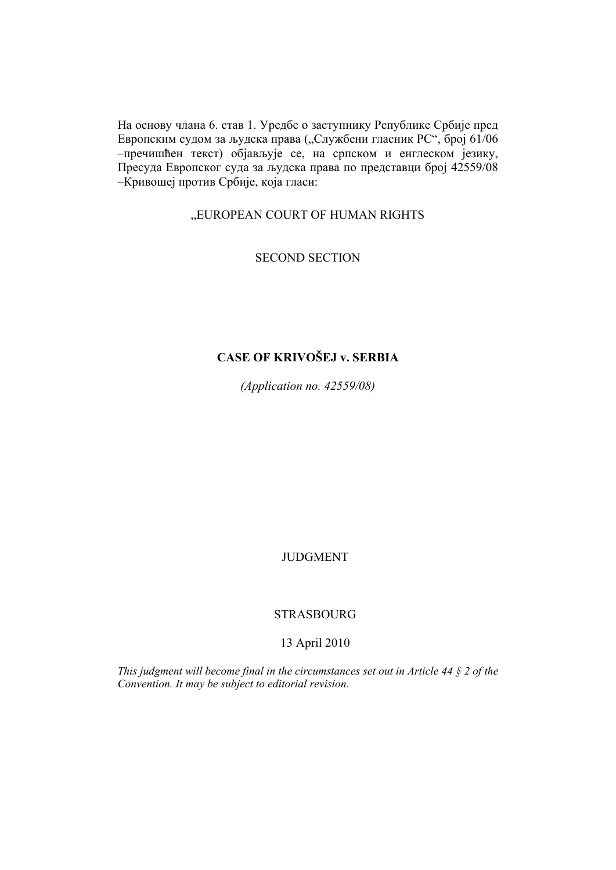На основу члана 6. став 1. Уредбе о заступнику Републике Србије пред Европским судом за људска права ("Службени гласник РС", број 61/06 –пречишћен текст) објављује се, на српском и енглеском језику, Пресуда Европског суда за људска права по представци број 42559/08 –Кривошеј против Србије, која гласи:

## "EUROPEAN COURT OF HUMAN RIGHTS

## SECOND SECTION

## **CASE OF KRIVOŠEJ v. SERBIA**

*(Application no. 42559/08)* 

JUDGMENT

## STRASBOURG

13 April 2010

*This judgment will become final in the circumstances set out in Article 44 § 2 of the Convention. It may be subject to editorial revision.*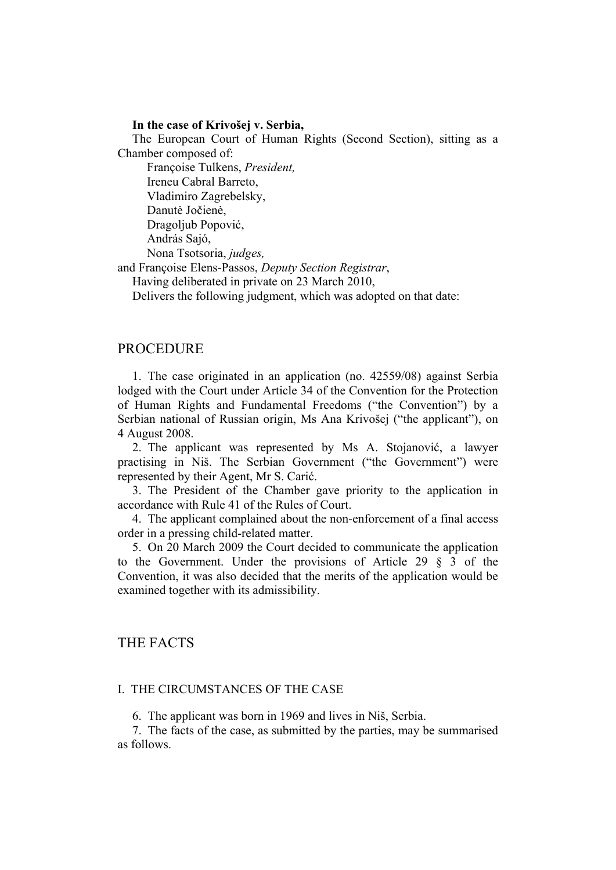### **In the case of Krivošej v. Serbia,**

The European Court of Human Rights (Second Section), sitting as a Chamber composed of:

 Françoise Tulkens, *President,*  Ireneu Cabral Barreto, Vladimiro Zagrebelsky, Danutė Jočienė, Dragoljub Popović, András Sajó, Nona Tsotsoria, *judges,*

and Françoise Elens-Passos, *Deputy Section Registrar*,

Having deliberated in private on 23 March 2010,

Delivers the following judgment, which was adopted on that date:

### PROCEDURE

1. The case originated in an application (no. 42559/08) against Serbia lodged with the Court under Article 34 of the Convention for the Protection of Human Rights and Fundamental Freedoms ("the Convention") by a Serbian national of Russian origin, Ms Ana Krivošej ("the applicant"), on 4 August 2008.

2. The applicant was represented by Ms A. Stojanović, a lawyer practising in Niš. The Serbian Government ("the Government") were represented by their Agent, Mr S. Carić.

3. The President of the Chamber gave priority to the application in accordance with Rule 41 of the Rules of Court.

4. The applicant complained about the non-enforcement of a final access order in a pressing child-related matter.

5. On 20 March 2009 the Court decided to communicate the application to the Government. Under the provisions of Article 29 § 3 of the Convention, it was also decided that the merits of the application would be examined together with its admissibility.

## THE FACTS

### I. THE CIRCUMSTANCES OF THE CASE

6. The applicant was born in 1969 and lives in Niš, Serbia.

7. The facts of the case, as submitted by the parties, may be summarised as follows.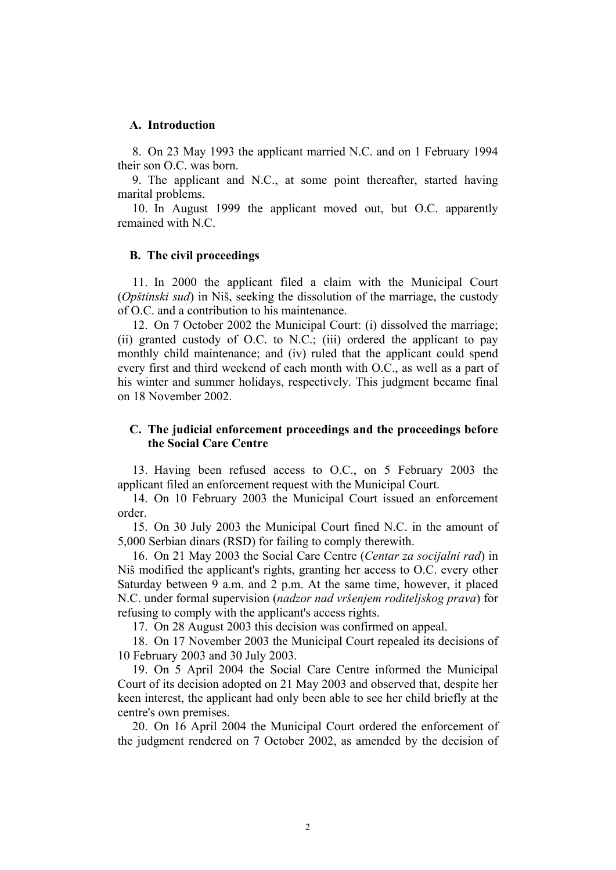### **A. Introduction**

8. On 23 May 1993 the applicant married N.C. and on 1 February 1994 their son O.C. was born.

9. The applicant and N.C., at some point thereafter, started having marital problems.

10. In August 1999 the applicant moved out, but O.C. apparently remained with N.C.

### **B. The civil proceedings**

11. In 2000 the applicant filed a claim with the Municipal Court (*Opštinski sud*) in Niš, seeking the dissolution of the marriage, the custody of O.C. and a contribution to his maintenance.

12. On 7 October 2002 the Municipal Court: (i) dissolved the marriage; (ii) granted custody of O.C. to N.C.; (iii) ordered the applicant to pay monthly child maintenance; and (iv) ruled that the applicant could spend every first and third weekend of each month with O.C., as well as a part of his winter and summer holidays, respectively. This judgment became final on 18 November 2002.

### **C. The judicial enforcement proceedings and the proceedings before the Social Care Centre**

13. Having been refused access to O.C., on 5 February 2003 the applicant filed an enforcement request with the Municipal Court.

14. On 10 February 2003 the Municipal Court issued an enforcement order.

15. On 30 July 2003 the Municipal Court fined N.C. in the amount of 5,000 Serbian dinars (RSD) for failing to comply therewith.

16. On 21 May 2003 the Social Care Centre (*Centar za socijalni rad*) in Niš modified the applicant's rights, granting her access to O.C. every other Saturday between 9 a.m. and 2 p.m. At the same time, however, it placed N.C. under formal supervision (*nadzor nad vršenjem roditeljskog prava*) for refusing to comply with the applicant's access rights.

17. On 28 August 2003 this decision was confirmed on appeal.

18. On 17 November 2003 the Municipal Court repealed its decisions of 10 February 2003 and 30 July 2003.

19. On 5 April 2004 the Social Care Centre informed the Municipal Court of its decision adopted on 21 May 2003 and observed that, despite her keen interest, the applicant had only been able to see her child briefly at the centre's own premises.

20. On 16 April 2004 the Municipal Court ordered the enforcement of the judgment rendered on 7 October 2002, as amended by the decision of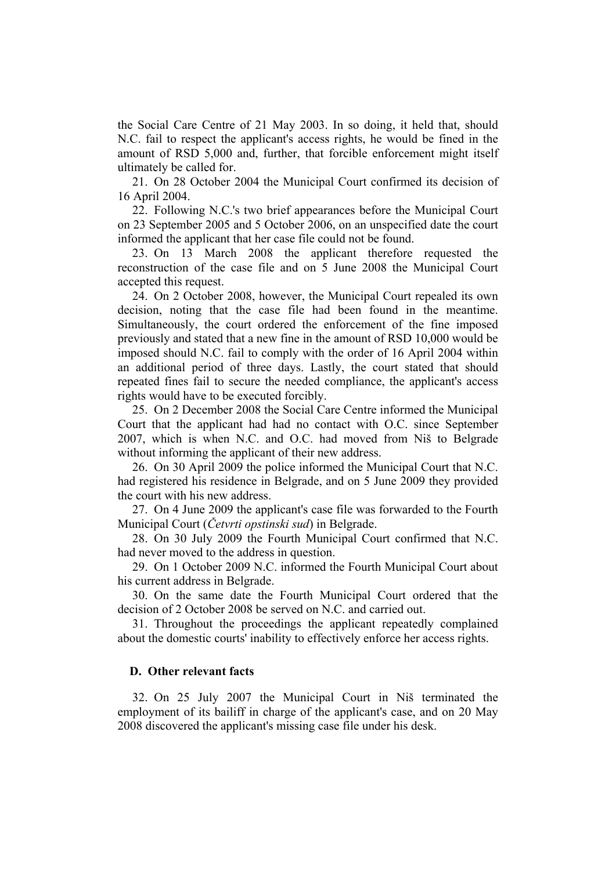the Social Care Centre of 21 May 2003. In so doing, it held that, should N.C. fail to respect the applicant's access rights, he would be fined in the amount of RSD 5,000 and, further, that forcible enforcement might itself ultimately be called for.

21. On 28 October 2004 the Municipal Court confirmed its decision of 16 April 2004.

22. Following N.C.'s two brief appearances before the Municipal Court on 23 September 2005 and 5 October 2006, on an unspecified date the court informed the applicant that her case file could not be found.

23. On 13 March 2008 the applicant therefore requested the reconstruction of the case file and on 5 June 2008 the Municipal Court accepted this request.

24. On 2 October 2008, however, the Municipal Court repealed its own decision, noting that the case file had been found in the meantime. Simultaneously, the court ordered the enforcement of the fine imposed previously and stated that a new fine in the amount of RSD 10,000 would be imposed should N.C. fail to comply with the order of 16 April 2004 within an additional period of three days. Lastly, the court stated that should repeated fines fail to secure the needed compliance, the applicant's access rights would have to be executed forcibly.

25. On 2 December 2008 the Social Care Centre informed the Municipal Court that the applicant had had no contact with O.C. since September 2007, which is when N.C. and O.C. had moved from Niš to Belgrade without informing the applicant of their new address.

26. On 30 April 2009 the police informed the Municipal Court that N.C. had registered his residence in Belgrade, and on 5 June 2009 they provided the court with his new address.

27. On 4 June 2009 the applicant's case file was forwarded to the Fourth Municipal Court (*Četvrti opstinski sud*) in Belgrade.

28. On 30 July 2009 the Fourth Municipal Court confirmed that N.C. had never moved to the address in question.

29. On 1 October 2009 N.C. informed the Fourth Municipal Court about his current address in Belgrade.

30. On the same date the Fourth Municipal Court ordered that the decision of 2 October 2008 be served on N.C. and carried out.

31. Throughout the proceedings the applicant repeatedly complained about the domestic courts' inability to effectively enforce her access rights.

### **D. Other relevant facts**

32. On 25 July 2007 the Municipal Court in Niš terminated the employment of its bailiff in charge of the applicant's case, and on 20 May 2008 discovered the applicant's missing case file under his desk.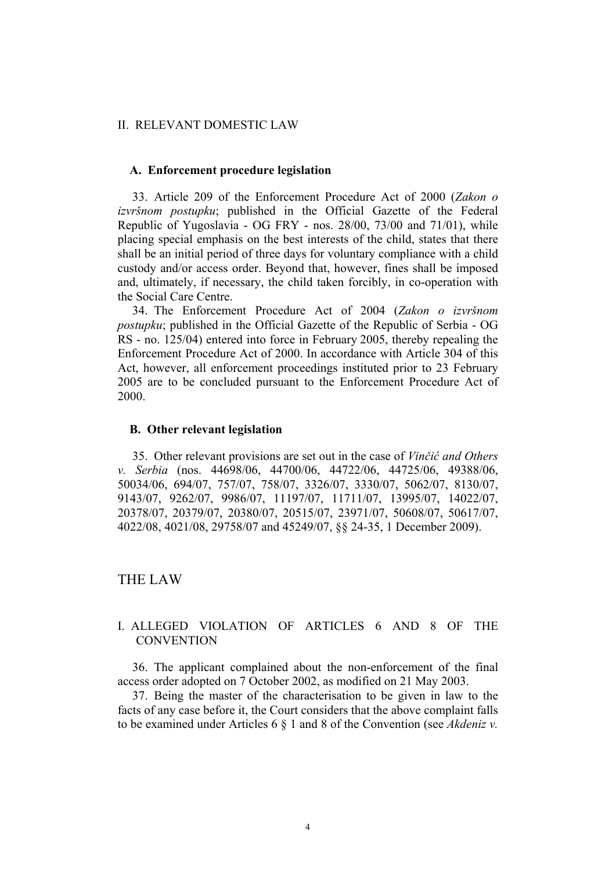### II. RELEVANT DOMESTIC LAW

### **A. Enforcement procedure legislation**

33. Article 209 of the Enforcement Procedure Act of 2000 (*Zakon o izvršnom postupku*; published in the Official Gazette of the Federal Republic of Yugoslavia - OG FRY - nos. 28/00, 73/00 and 71/01), while placing special emphasis on the best interests of the child, states that there shall be an initial period of three days for voluntary compliance with a child custody and/or access order. Beyond that, however, fines shall be imposed and, ultimately, if necessary, the child taken forcibly, in co-operation with the Social Care Centre.

34. The Enforcement Procedure Act of 2004 (*Zakon o izvršnom postupku*; published in the Official Gazette of the Republic of Serbia - OG RS - no. 125/04) entered into force in February 2005, thereby repealing the Enforcement Procedure Act of 2000. In accordance with Article 304 of this Act, however, all enforcement proceedings instituted prior to 23 February 2005 are to be concluded pursuant to the Enforcement Procedure Act of 2000.

### **B. Other relevant legislation**

35. Other relevant provisions are set out in the case of *Vinčić and Others v. Serbia* (nos. 44698/06, 44700/06, 44722/06, 44725/06, 49388/06, 50034/06, 694/07, 757/07, 758/07, 3326/07, 3330/07, 5062/07, 8130/07, 9143/07, 9262/07, 9986/07, 11197/07, 11711/07, 13995/07, 14022/07, 20378/07, 20379/07, 20380/07, 20515/07, 23971/07, 50608/07, 50617/07, 4022/08, 4021/08, 29758/07 and 45249/07, §§ 24-35, 1 December 2009).

### THE LAW

### I. ALLEGED VIOLATION OF ARTICLES 6 AND 8 OF THE **CONVENTION**

36. The applicant complained about the non-enforcement of the final access order adopted on 7 October 2002, as modified on 21 May 2003.

37. Being the master of the characterisation to be given in law to the facts of any case before it, the Court considers that the above complaint falls to be examined under Articles 6 § 1 and 8 of the Convention (see *Akdeniz v.*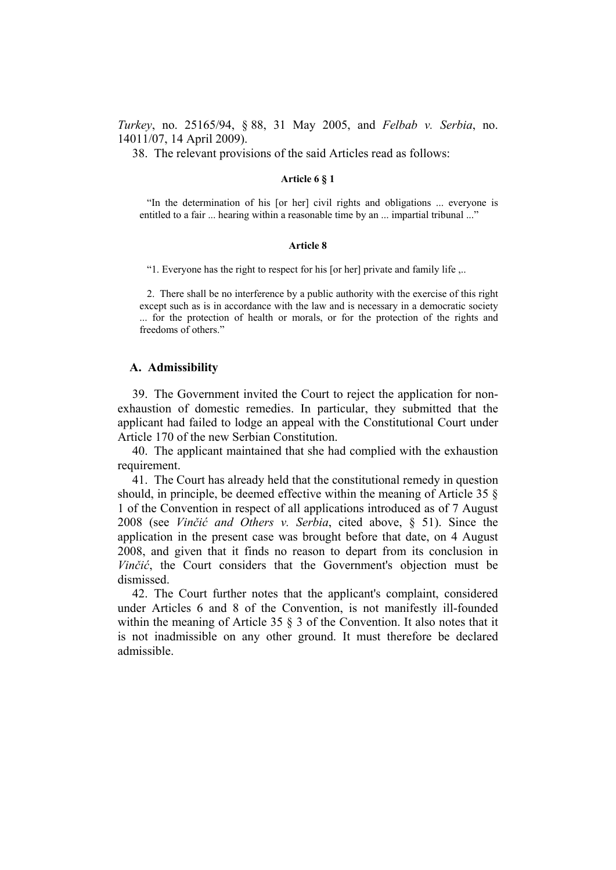*Turkey*, no. 25165/94, § 88, 31 May 2005, and *Felbab v. Serbia*, no. 14011/07, 14 April 2009).

38. The relevant provisions of the said Articles read as follows:

### **Article 6 § 1**

"In the determination of his [or her] civil rights and obligations ... everyone is entitled to a fair ... hearing within a reasonable time by an ... impartial tribunal ..."

#### **Article 8**

"1. Everyone has the right to respect for his [or her] private and family life ,..

2. There shall be no interference by a public authority with the exercise of this right except such as is in accordance with the law and is necessary in a democratic society ... for the protection of health or morals, or for the protection of the rights and freedoms of others."

#### **A. Admissibility**

39. The Government invited the Court to reject the application for nonexhaustion of domestic remedies. In particular, they submitted that the applicant had failed to lodge an appeal with the Constitutional Court under Article 170 of the new Serbian Constitution.

40. The applicant maintained that she had complied with the exhaustion requirement.

41. The Court has already held that the constitutional remedy in question should, in principle, be deemed effective within the meaning of Article 35 § 1 of the Convention in respect of all applications introduced as of 7 August 2008 (see *Vinčić and Others v. Serbia*, cited above, § 51). Since the application in the present case was brought before that date, on 4 August 2008, and given that it finds no reason to depart from its conclusion in *Vinčić*, the Court considers that the Government's objection must be dismissed.

42. The Court further notes that the applicant's complaint, considered under Articles 6 and 8 of the Convention, is not manifestly ill-founded within the meaning of Article 35  $\S$  3 of the Convention. It also notes that it is not inadmissible on any other ground. It must therefore be declared admissible.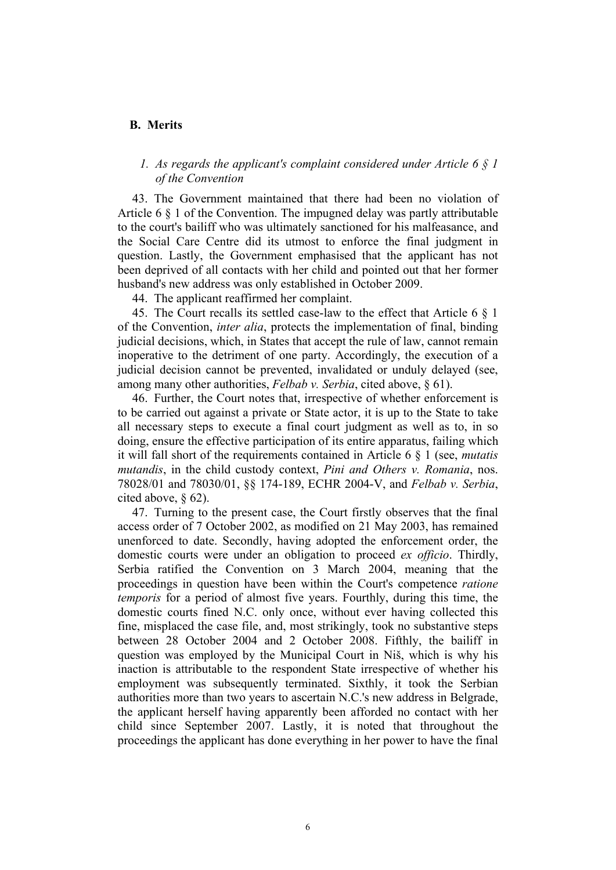### **B. Merits**

## *1. As regards the applicant's complaint considered under Article 6 § 1 of the Convention*

43. The Government maintained that there had been no violation of Article 6 § 1 of the Convention. The impugned delay was partly attributable to the court's bailiff who was ultimately sanctioned for his malfeasance, and the Social Care Centre did its utmost to enforce the final judgment in question. Lastly, the Government emphasised that the applicant has not been deprived of all contacts with her child and pointed out that her former husband's new address was only established in October 2009.

44. The applicant reaffirmed her complaint.

45. The Court recalls its settled case-law to the effect that Article 6 § 1 of the Convention, *inter alia*, protects the implementation of final, binding judicial decisions, which, in States that accept the rule of law, cannot remain inoperative to the detriment of one party. Accordingly, the execution of a judicial decision cannot be prevented, invalidated or unduly delayed (see, among many other authorities, *Felbab v. Serbia*, cited above, § 61).

46. Further, the Court notes that, irrespective of whether enforcement is to be carried out against a private or State actor, it is up to the State to take all necessary steps to execute a final court judgment as well as to, in so doing, ensure the effective participation of its entire apparatus, failing which it will fall short of the requirements contained in Article 6 § 1 (see, *mutatis mutandis*, in the child custody context, *Pini and Others v. Romania*, nos. 78028/01 and 78030/01, §§ 174-189, ECHR 2004-V, and *Felbab v. Serbia*, cited above, § 62).

47. Turning to the present case, the Court firstly observes that the final access order of 7 October 2002, as modified on 21 May 2003, has remained unenforced to date. Secondly, having adopted the enforcement order, the domestic courts were under an obligation to proceed *ex officio*. Thirdly, Serbia ratified the Convention on 3 March 2004, meaning that the proceedings in question have been within the Court's competence *ratione temporis* for a period of almost five years. Fourthly, during this time, the domestic courts fined N.C. only once, without ever having collected this fine, misplaced the case file, and, most strikingly, took no substantive steps between 28 October 2004 and 2 October 2008. Fifthly, the bailiff in question was employed by the Municipal Court in Niš, which is why his inaction is attributable to the respondent State irrespective of whether his employment was subsequently terminated. Sixthly, it took the Serbian authorities more than two years to ascertain N.C.'s new address in Belgrade, the applicant herself having apparently been afforded no contact with her child since September 2007. Lastly, it is noted that throughout the proceedings the applicant has done everything in her power to have the final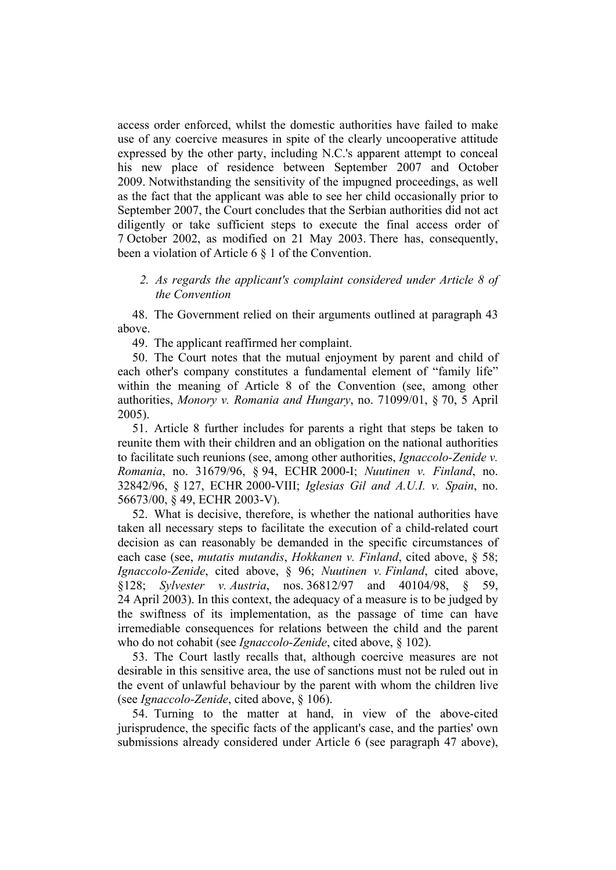access order enforced, whilst the domestic authorities have failed to make use of any coercive measures in spite of the clearly uncooperative attitude expressed by the other party, including N.C.'s apparent attempt to conceal his new place of residence between September 2007 and October 2009. Notwithstanding the sensitivity of the impugned proceedings, as well as the fact that the applicant was able to see her child occasionally prior to September 2007, the Court concludes that the Serbian authorities did not act diligently or take sufficient steps to execute the final access order of 7 October 2002, as modified on 21 May 2003. There has, consequently, been a violation of Article 6 § 1 of the Convention.

## *2. As regards the applicant's complaint considered under Article 8 of the Convention*

48. The Government relied on their arguments outlined at paragraph 43 above.

49. The applicant reaffirmed her complaint.

50. The Court notes that the mutual enjoyment by parent and child of each other's company constitutes a fundamental element of "family life" within the meaning of Article 8 of the Convention (see, among other authorities, *Monory v. Romania and Hungary*, no. 71099/01, § 70, 5 April 2005).

51. Article 8 further includes for parents a right that steps be taken to reunite them with their children and an obligation on the national authorities to facilitate such reunions (see, among other authorities, *Ignaccolo-Zenide v. Romania*, no. 31679/96, § 94, ECHR 2000-I; *Nuutinen v. Finland*, no. 32842/96, § 127, ECHR 2000-VIII; *Iglesias Gil and A.U.I. v. Spain*, no. 56673/00, § 49, ECHR 2003-V).

52. What is decisive, therefore, is whether the national authorities have taken all necessary steps to facilitate the execution of a child-related court decision as can reasonably be demanded in the specific circumstances of each case (see, *mutatis mutandis*, *Hokkanen v. Finland*, cited above, § 58; *Ignaccolo-Zenide*, cited above, § 96; *Nuutinen v. Finland*, cited above, §128; *Sylvester v. Austria*, nos. 36812/97 and 40104/98, § 59, 24 April 2003). In this context, the adequacy of a measure is to be judged by the swiftness of its implementation, as the passage of time can have irremediable consequences for relations between the child and the parent who do not cohabit (see *Ignaccolo-Zenide*, cited above, § 102).

53. The Court lastly recalls that, although coercive measures are not desirable in this sensitive area, the use of sanctions must not be ruled out in the event of unlawful behaviour by the parent with whom the children live (see *Ignaccolo-Zenide*, cited above, § 106).

54. Turning to the matter at hand, in view of the above-cited jurisprudence, the specific facts of the applicant's case, and the parties' own submissions already considered under Article 6 (see paragraph 47 above),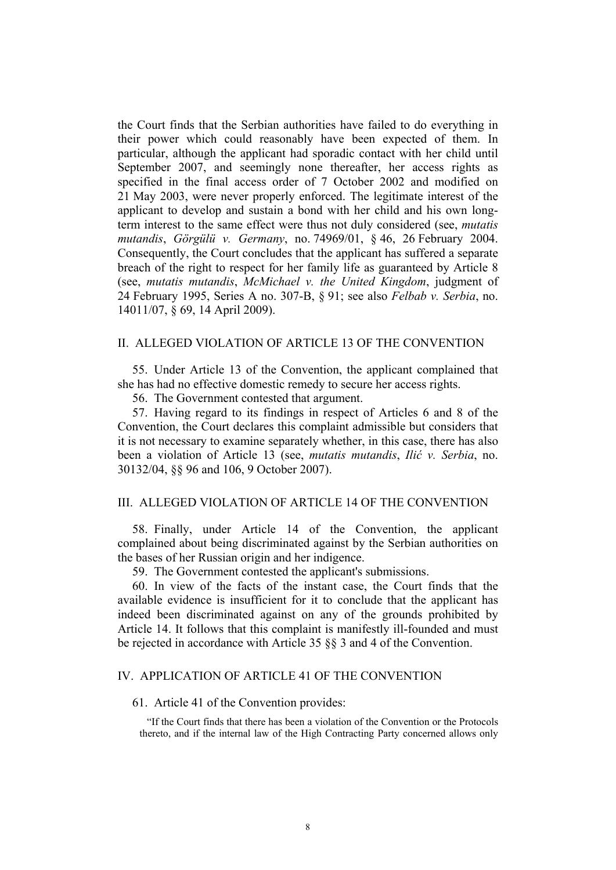the Court finds that the Serbian authorities have failed to do everything in their power which could reasonably have been expected of them. In particular, although the applicant had sporadic contact with her child until September 2007, and seemingly none thereafter, her access rights as specified in the final access order of 7 October 2002 and modified on 21 May 2003, were never properly enforced. The legitimate interest of the applicant to develop and sustain a bond with her child and his own longterm interest to the same effect were thus not duly considered (see, *mutatis mutandis*, *Görgülü v. Germany*, no. 74969/01, § 46, 26 February 2004. Consequently, the Court concludes that the applicant has suffered a separate breach of the right to respect for her family life as guaranteed by Article 8 (see, *mutatis mutandis*, *McMichael v. the United Kingdom*, judgment of 24 February 1995, Series A no. 307-B, § 91; see also *Felbab v. Serbia*, no. 14011/07, § 69, 14 April 2009).

### II. ALLEGED VIOLATION OF ARTICLE 13 OF THE CONVENTION

55. Under Article 13 of the Convention, the applicant complained that she has had no effective domestic remedy to secure her access rights.

56. The Government contested that argument.

57. Having regard to its findings in respect of Articles 6 and 8 of the Convention, the Court declares this complaint admissible but considers that it is not necessary to examine separately whether, in this case, there has also been a violation of Article 13 (see, *mutatis mutandis*, *Ilić v. Serbia*, no. 30132/04, §§ 96 and 106, 9 October 2007).

## III. ALLEGED VIOLATION OF ARTICLE 14 OF THE CONVENTION

58. Finally, under Article 14 of the Convention, the applicant complained about being discriminated against by the Serbian authorities on the bases of her Russian origin and her indigence.

59. The Government contested the applicant's submissions.

60. In view of the facts of the instant case, the Court finds that the available evidence is insufficient for it to conclude that the applicant has indeed been discriminated against on any of the grounds prohibited by Article 14. It follows that this complaint is manifestly ill-founded and must be rejected in accordance with Article 35 §§ 3 and 4 of the Convention.

### IV. APPLICATION OF ARTICLE 41 OF THE CONVENTION

### 61. Article 41 of the Convention provides:

"If the Court finds that there has been a violation of the Convention or the Protocols thereto, and if the internal law of the High Contracting Party concerned allows only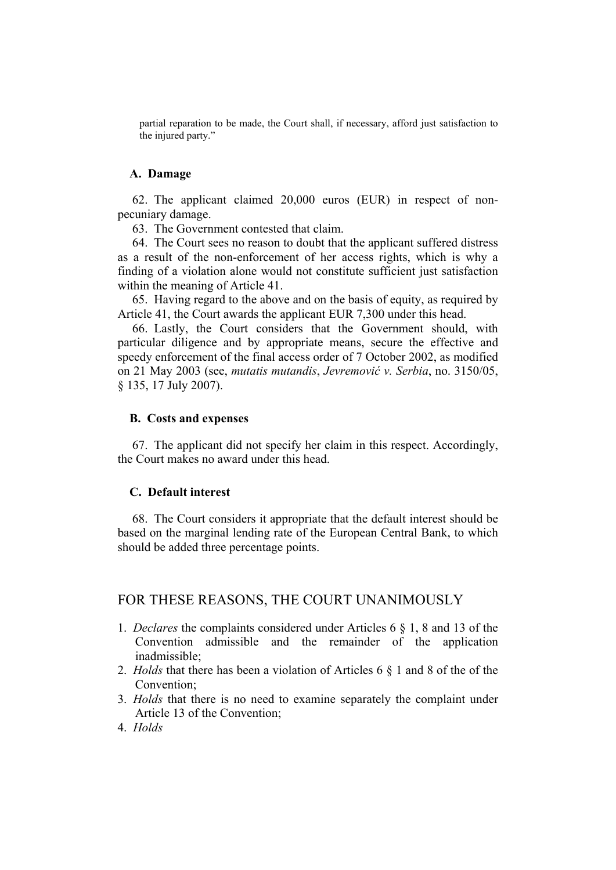partial reparation to be made, the Court shall, if necessary, afford just satisfaction to the injured party."

### **A. Damage**

62. The applicant claimed 20,000 euros (EUR) in respect of nonpecuniary damage.

63. The Government contested that claim.

64. The Court sees no reason to doubt that the applicant suffered distress as a result of the non-enforcement of her access rights, which is why a finding of a violation alone would not constitute sufficient just satisfaction within the meaning of Article 41.

65. Having regard to the above and on the basis of equity, as required by Article 41, the Court awards the applicant EUR 7,300 under this head.

66. Lastly, the Court considers that the Government should, with particular diligence and by appropriate means, secure the effective and speedy enforcement of the final access order of 7 October 2002, as modified on 21 May 2003 (see, *mutatis mutandis*, *Jevremović v. Serbia*, no. 3150/05, § 135, 17 July 2007).

### **B. Costs and expenses**

67. The applicant did not specify her claim in this respect. Accordingly, the Court makes no award under this head.

## **C. Default interest**

68. The Court considers it appropriate that the default interest should be based on the marginal lending rate of the European Central Bank, to which should be added three percentage points.

## FOR THESE REASONS, THE COURT UNANIMOUSLY

- 1. *Declares* the complaints considered under Articles 6 § 1, 8 and 13 of the Convention admissible and the remainder of the application inadmissible;
- 2. *Holds* that there has been a violation of Articles 6 § 1 and 8 of the of the Convention;
- 3. *Holds* that there is no need to examine separately the complaint under Article 13 of the Convention;
- 4. *Holds*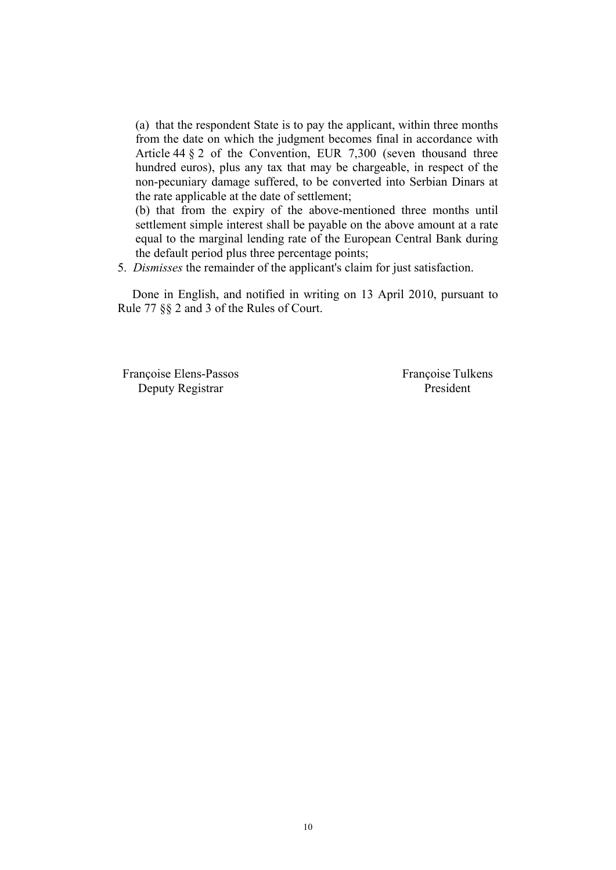(a) that the respondent State is to pay the applicant, within three months from the date on which the judgment becomes final in accordance with Article 44 § 2 of the Convention, EUR 7,300 (seven thousand three hundred euros), plus any tax that may be chargeable, in respect of the non-pecuniary damage suffered, to be converted into Serbian Dinars at the rate applicable at the date of settlement;

(b) that from the expiry of the above-mentioned three months until settlement simple interest shall be payable on the above amount at a rate equal to the marginal lending rate of the European Central Bank during the default period plus three percentage points;

5. *Dismisses* the remainder of the applicant's claim for just satisfaction.

Done in English, and notified in writing on 13 April 2010, pursuant to Rule 77 §§ 2 and 3 of the Rules of Court.

Françoise Elens-Passos Françoise Tulkens Deputy Registrar President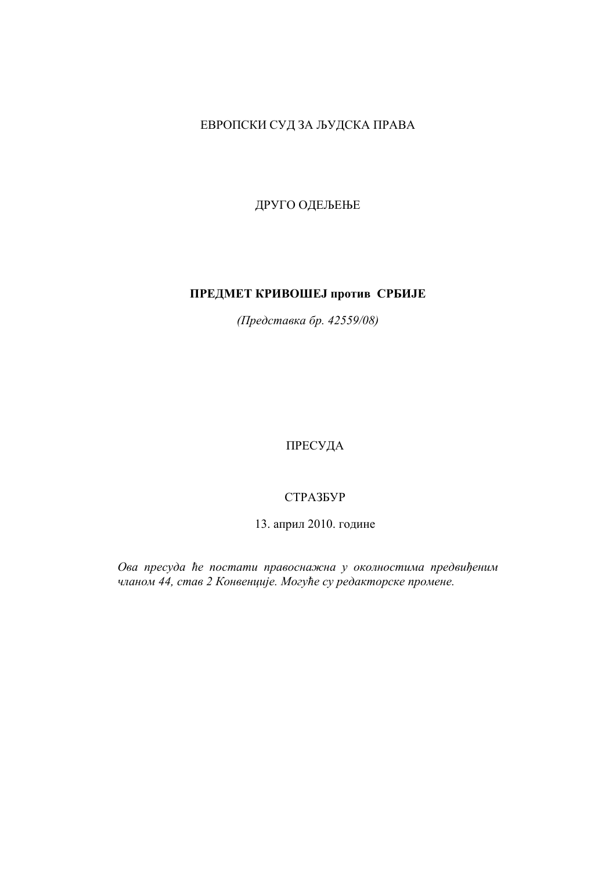# ЕВРОПСКИ СУД ЗА ЉУДСКА ПРАВА

ДРУГО ОДЕЉЕЊЕ

## **ПРЕДМЕТ КРИВОШЕЈ против СРБИЈЕ**

*(Представка бр. 42559/08)*

ПРЕСУДА

## СТРАЗБУР

13. април 2010. године

*Ова пресуда ће постати правоснажна у околностима предвиђеним чланом 44, став 2 Конвенције. Могуће су редакторске промене.*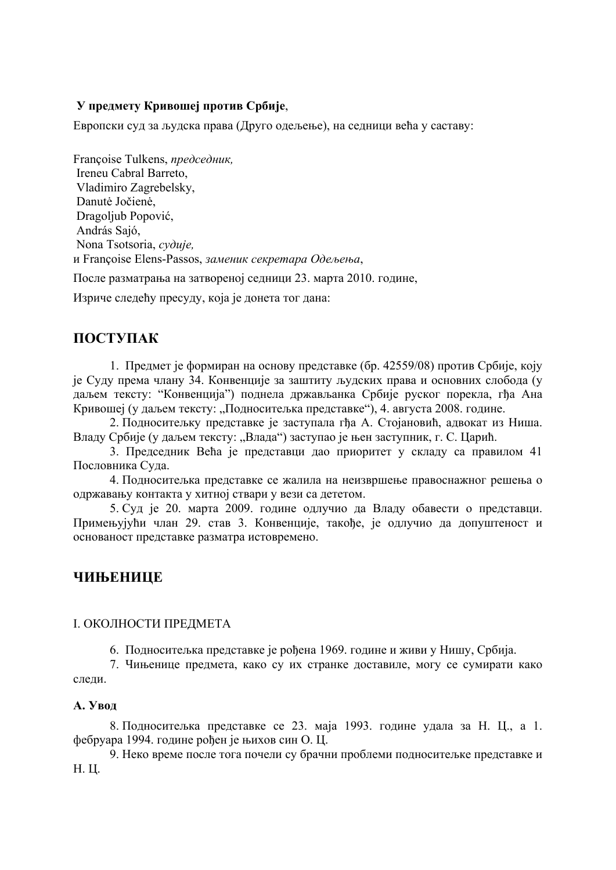## **У предмету Кривошеј против Србије**,

Европски суд за људска права (Друго одељење), на седници већа у саставу:

Françoise Tulkens, *председник,*  Ireneu Cabral Barreto, Vladimiro Zagrebelsky, Danutė Jočienė, Dragoljub Popović, András Sajó, Nona Tsotsoria, *судије,* и Françoise Elens-Passos, *заменик секретара Одељења*,

После разматрања на затвореној седници 23. марта 2010. године,

Изриче следећу пресуду, која је донета тог дана:

# **ПОСТУПАК**

1. Предмет је формиран на основу представке (бр. 42559/08) против Србије, коју је Суду према члану 34. Конвенције за заштиту људских права и основних слобода (у даљем тексту: "Конвенција") поднела држављанка Србије руског порекла, гђа Ана Кривошеј (у даљем тексту: "Подноситељка представке"), 4. августа 2008. године.

2. Подноситељку представке је заступала гђа А. Стојановић, адвокат из Ниша. Владу Србије (у даљем тексту: "Влада") заступао је њен заступник, г. С. Царић.

3. Председник Већа је представци дао приоритет у складу са правилом 41 Пословника Суда.

4. Подноситељка представке се жалила на неизвршење правоснажног решења о одржавању контакта у хитној ствари у вези са дететом.

5. Суд је 20. марта 2009. године одлучио да Владу обавести о представци. Примењујући члан 29. став 3. Конвенције, такође, је одлучио да допуштеност и основаност представке разматра истовремено.

# **ЧИЊЕНИЦЕ**

## I. ОКОЛНОСТИ ПРЕДМЕТА

6. Подноситељка представке је рођена 1969. године и живи у Нишу, Србија.

7. Чињенице предмета, како су их странке доставиле, могу се сумирати како следи.

## **А. Увод**

8. Подноситељка представке се 23. маја 1993. године удала за Н. Ц., а 1. фебруара 1994. године рођен је њихов син О. Ц.

9. Неко време после тога почели су брачни проблеми подноситељке представке и Н. Ц.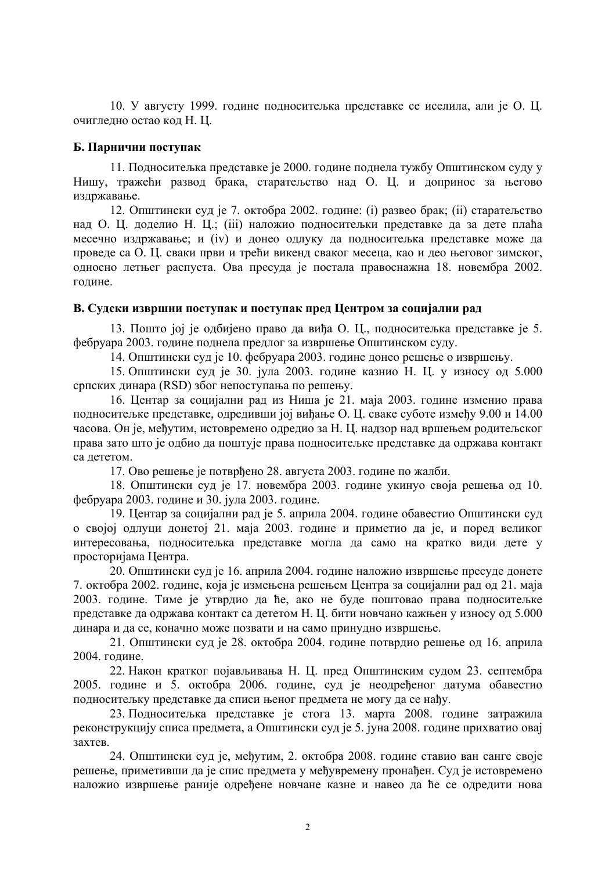10. У августу 1999. године подноситељка представке се иселила, али је О. Ц. oчигледно остао код Н. Ц.

### **Б. Парнични поступак**

11. Подноситељка представке је 2000. године поднела тужбу Општинском суду у Нишу, тражећи развод брака, старатељство над О. Ц. и допринос за његово издржавање.

12. Општински суд је 7. октобра 2002. године: (i) развео брак; (ii) старатељство над О. Ц. доделио Н. Ц.; (iii) наложио подноситељки представке да за дете плаћа месечно издржавање; и (iv) и донео одлуку да подноситељка представке може да проведе са О. Ц. сваки први и трећи викенд сваког месеца, као и део његовог зимског, односно летњег распуста. Ова пресуда је постала правоснажна 18. новембра 2002. године.

## **В. Судски извршни поступак и поступак пред Центром за социјални рад**

13. Пошто јој је одбијено право да виђа О. Ц., подноситељка представке је 5. фебруара 2003. године поднела предлог за извршење Општинском суду.

14. Општински суд је 10. фебруара 2003. године донео решење о извршењу.

15. Општински суд је 30. јула 2003. године казнио Н. Ц. у износу од 5.000 српских динара (RSD) због непоступања по решењу.

16. Центар за социјални рад из Ниша је 21. маја 2003. године изменио права подноситељке представке, одредивши јој виђање О. Ц. сваке суботе између 9.00 и 14.00 часова. Он је, међутим, истовремено одредио за Н. Ц. надзор над вршењем родитељског права зато што је одбио да поштује права подноситељке представке да одржава контакт са дететом.

17. Ово решење је потврђено 28. августа 2003. године по жалби.

18. Општински суд је 17. новембра 2003. године укинуо своја решења од 10. фебруара 2003. године и 30. јула 2003. године.

19. Центар за социјални рад је 5. априла 2004. године обавестио Општински суд о својој одлуци донетој 21. маја 2003. године и приметио да је, и поред великог интересовања, подноситељка представке могла да само на кратко види дете у просторијама Центра.

20. Општински суд је 16. априла 2004. године наложио извршење пресуде донете 7. октобра 2002. године, која је измењена решењем Центра за социјални рад од 21. маја 2003. године. Тиме је утврдио да ће, ако не буде поштовао права подноситељке представке да одржава контакт са дететом Н. Ц. бити новчано кажњен у износу од 5.000 динара и да се, коначно може позвати и на само принудно извршење.

21. Општински суд је 28. октобра 2004. године потврдио решење од 16. априла 2004. године.

22. Након кратког појављивања Н. Ц. пред Општинским судом 23. септембра 2005. године и 5. октобра 2006. године, суд је неодређеног датума обавестио подноситељку представке да списи њеног предмета не могу да се нађу.

23. Подноситељка представке је стога 13. марта 2008. године затражила реконструкцију списа предмета, а Општински суд је 5. јуна 2008. године прихватио овај захтев.

24. Општински суд је, међутим, 2. октобра 2008. године ставио ван санге своје решење, приметивши да је спис предмета у међувремену пронађен. Суд је истовремено наложио извршење раније одређене новчане казне и навео да ће се одредити нова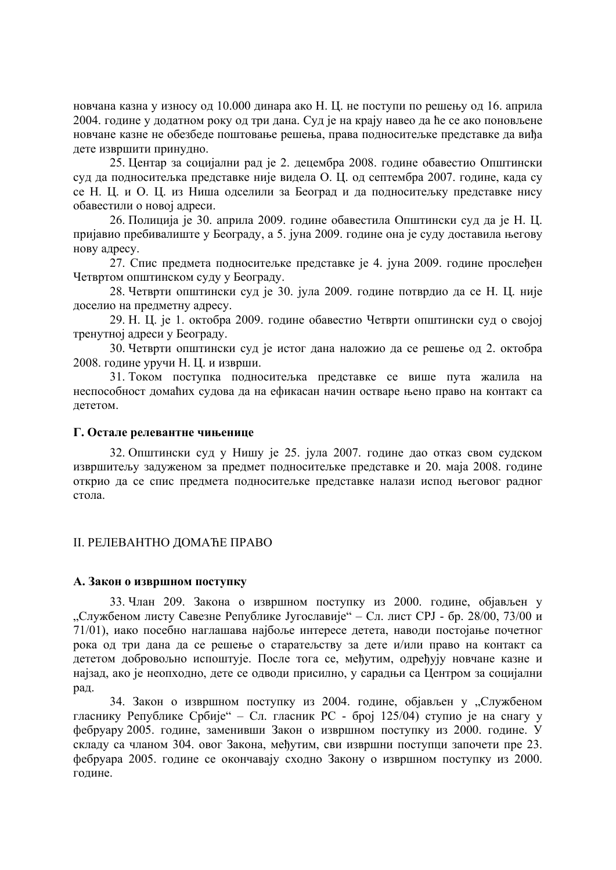новчана казна у износу од 10.000 динара ако Н. Ц. не поступи по решењу од 16. априла 2004. године у додатном року од три дана. Суд је на крају навео да ће се ако поновљене новчане казне не обезбеде поштовање решења, права подноситељке представке да виђа дете извршити принудно.

25. Центар за социјални рад је 2. децембра 2008. године обавестио Општински суд да подноситељка представке није видела О. Ц. од септембра 2007. године, када су се Н. Ц. и О. Ц. из Ниша одселили за Београд и да подноситељку представке нису обавестили о новој адреси.

26. Полиција је 30. априла 2009. године обавестила Општински суд да је Н. Ц. пријавио пребивалиште у Београду, а 5. јуна 2009. године она је суду доставила његову нову адресу.

27. Спис предмета подноситељке представке је 4. јуна 2009. године прослеђен Четвртом општинском суду у Београду.

28. Четврти општински суд је 30. јула 2009. године потврдио да се Н. Ц. није доселио на предметну адресу.

29. Н. Ц. је 1. октобра 2009. године обавестио Четврти општински суд о својој тренутној адреси у Београду.

30. Четврти општински суд је истог дана наложио да се решење од 2. октобра 2008. године уручи Н. Ц. и изврши.

31. Током поступка подноситељка представке се више пута жалила на неспособност домаћих судова да на ефикасан начин остваре њено право на контакт са дететом.

### **Г. Остале релевантне чињенице**

32. Општински суд у Нишу је 25. јула 2007. године дао отказ свом судском извршитељу задуженом за предмет подноситељке представке и 20. маја 2008. године открио да се спис предмета подноситељке представке налази испод његовог радног стола.

## II. РЕЛЕВАНТНО ДОМАЋЕ ПРАВО

### **А. Закон о извршном поступку**

33. Члан 209. Закона о извршном поступку из 2000. године, објављен у "Службеном листу Савезне Републике Југославије" – Сл. лист СРЈ - бр. 28/00, 73/00 и 71/01), иако посебно наглашава најбоље интересе детета, наводи постојање почетног рока од три дана да се решење о старатељству за дете и/или право на контакт са дететом добровољно испоштује. После тога се, међутим, одређују новчане казне и најзад, ако је неопходно, дете се одводи присилно, у сарадњи са Центром за социјални рад.

34. Закон о извршном поступку из 2004. године, објављен у "Службеном гласнику Републике Србије" – Сл. гласник РС - број 125/04) ступио је на снагу у фебруару 2005. године, заменивши Закон о извршном поступку из 2000. године. У складу са чланом 304. овог Закона, међутим, сви извршни поступци започети пре 23. фебруара 2005. године се окончавају сходно Закону о извршном поступку из 2000. године.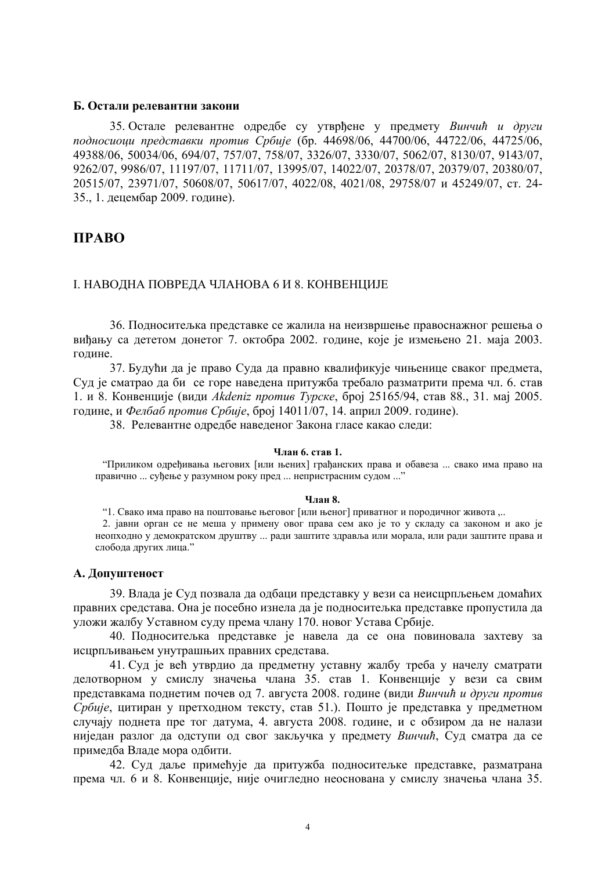#### **Б. Остали релевантни закони**

35. Остале релевантне одредбе су утврђене у предмету *Винчић и други подносиоци представки против Србије* (бр. 44698/06, 44700/06, 44722/06, 44725/06, 49388/06, 50034/06, 694/07, 757/07, 758/07, 3326/07, 3330/07, 5062/07, 8130/07, 9143/07, 9262/07, 9986/07, 11197/07, 11711/07, 13995/07, 14022/07, 20378/07, 20379/07, 20380/07, 20515/07, 23971/07, 50608/07, 50617/07, 4022/08, 4021/08, 29758/07 и 45249/07, ст. 24- 35., 1. децембар 2009. године).

## **ПРАВО**

### I. НАВОДНА ПОВРЕДА ЧЛАНОВА 6 И 8. КОНВЕНЦИЈЕ

36. Подноситељка представке се жалила на неизвршење правоснажног решења о виђању са дететом донетог 7. октобра 2002. године, које је измењено 21. маја 2003. године.

37. Будући да је право Суда да правно квалификује чињенице сваког предмета, Суд је сматрао да би се горе наведена притужба требало разматрити према чл. 6. став 1. и 8. Конвенције (види *Akdeniz против Турске*, број 25165/94, став 88., 31. мај 2005. године, и *Фелбаб против Србије*, број 14011/07, 14. април 2009. године).

38. Рeлевантне одредбе наведеног Закoна гласе какао следи:

#### **Члан 6. став 1.**

"Приликом одређивања његових [или њених] грађанских права и обавеза ... свако има право на правично ... суђење у разумном року пред ... непристрасним судом ..."

#### **Члан 8.**

"1. Свако има право на поштовање његовог [или њеног] приватног и породичног живота ,..

2. јавни орган се не меша у примену овог права сем ако је то у складу са законом и ако је неопходно у демократском друштву ... ради заштите здравља или морала, или ради заштите права и слобода других лица."

### **А. Допуштеност**

39. Влада је Суд позвала да одбаци представку у вези са неисцрпљењем домаћих правних средстава. Она је посебно изнела да је подноситељка представке пропустила да уложи жалбу Уставном суду према члану 170. новог Устава Србије.

40. Подноситељка представке је навела да се она повиновала захтеву за исцрпљивањем унутрашњих правних средстава.

41. Суд је већ утврдио да предметну уставну жалбу треба у начелу сматрати делотворном у смислу значења члана 35. став 1. Конвенције у вези са свим представкама поднетим почев од 7. августа 2008. године (види *Винчић и други против Србије*, цитиран у претходном тексту, став 51.). Пошто је представка у предметном случају поднета пре тог датума, 4. августа 2008. године, и с обзиром да не налази ниједан разлог да одступи од свог закључка у предмету *Винчић*, Суд сматра да се примедба Владе мора одбити.

42. Суд даље примећује да притужба подноситељке представке, разматрана према чл. 6 и 8. Конвенције, није очигледно неоснована у смислу значења члана 35.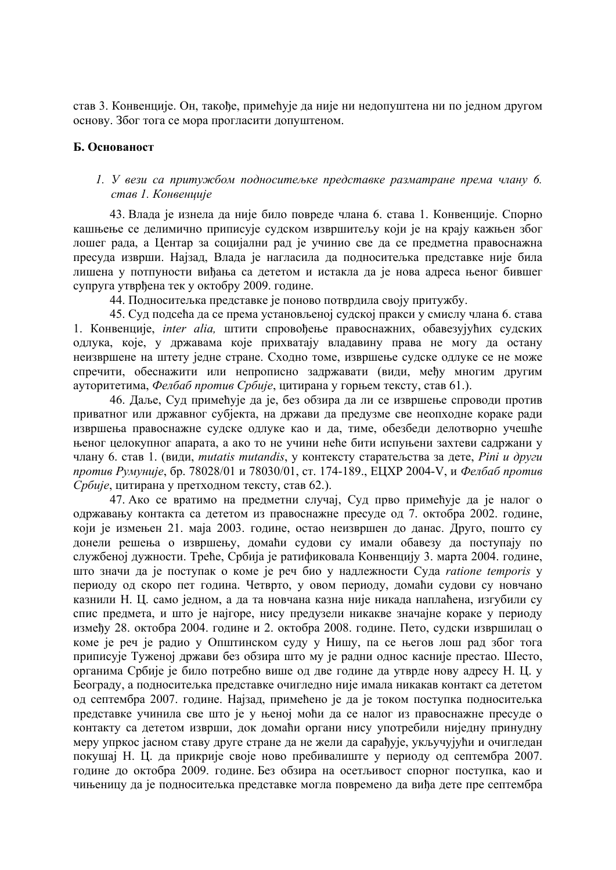став 3. Конвенције. Он, такође, примећује да није ни недопуштена ни по једном другом основу. Због тога се мора прогласити допуштеном.

## **Б. Основаност**

## *1. У вези са притужбом подноситељке представке разматране према члану 6. став 1. Конвенције*

43. Влада је изнела да није било повреде члана 6. става 1. Конвенције. Спорно кашњење се делимично приписује судском извршитељу који је на крају кажњен због лошег рада, а Центар за социјални рад је учинио све да се предметна правоснажна пресуда изврши. Најзад, Влада је нагласила да подноситељка представке није била лишена у потпуности виђања са дететом и истакла да је нова адреса њеног бившег супруга утврђена тек у октобру 2009. године.

44. Подноситељка представке је поново потврдила своју притужбу.

45. Суд подсећа да се према установљеној судској пракси у смислу члана 6. става 1. Конвенције, *inter alia,* штити спровођење правоснажних, обавезујућих судских одлука, које, у државама које прихватају владавину права не могу да остану неизвршене на штету једне стране. Сходно томе, извршење судске одлуке се не може спречити, обеснажити или непрописно задржавати (види, међу многим другим ауторитетима, *Фелбаб против Србије*, цитирана у горњем тексту, став 61.).

46. Даље, Суд примећује да је, без обзира да ли се извршење спроводи против приватног или државног субјекта, на држави да предузме све неопходне кораке ради извршења правоснажне судске одлуке као и да, тиме, обезбеди делотворно учешће њеног целокупног апарата, а ако то не учини неће бити испуњени захтеви садржани у члану 6. став 1. (види, *mutatis mutandis*, у контексту старатељства за дете, *Pini и други против Румуније*, бр. 78028/01 и 78030/01, ст. 174-189., ЕЦХР 2004-V, и *Фелбаб против Србије*, цитирана у претходном тексту, став 62.).

47. Ако се вратимо на предметни случај, Суд прво примећује да је налог о одржавању контакта са дететом из правоснажне пресуде од 7. октобра 2002. године, који је измењен 21. маја 2003. године, остао неизвршен до данас. Друго, пошто су донели решења о извршењу, домаћи судови су имали обавезу да поступају по службеној дужности. Треће, Србија је ратификовала Конвенцију 3. марта 2004. године, што значи да је поступак о коме је реч био у надлежности Суда *ratione temporis* у периоду од скоро пет година. Четврто, у овом периоду, домаћи судови су новчано казнили Н. Ц. само једном, а да та новчана казна није никада наплаћена, изгубили су спис предмета, и што је најгоре, нису предузели никакве значајне кораке у периоду између 28. октобра 2004. године и 2. октобра 2008. године. Пето, судски извршилац о коме је реч је радио у Општинском суду у Нишу, па се његов лош рад због тога приписује Туженој држави без обзира што му је радни однос касније престао. Шесто, органима Србије је било потребно више од две године да утврде нову адресу Н. Ц. у Београду, а подноситељка представке очигледно није имала никакав контакт са дететом од септембра 2007. године. Најзад, примећено је да је током поступка подноситељка представке учинила све што је у њеној моћи да се налог из правоснажне пресуде о контакту са дететом изврши, док домаћи органи нису употребили ниједну принудну меру упркос јасном ставу друге стране да не жели да сарађује, укључујући и очигледан покушај Н. Ц. да прикрије своје ново пребивалиште у периоду од септембра 2007. године до октобра 2009. године. Без обзира на осетљивост спорног поступка, као и чињеницу да је подноситељка представке могла повремено да виђа дете пре септембра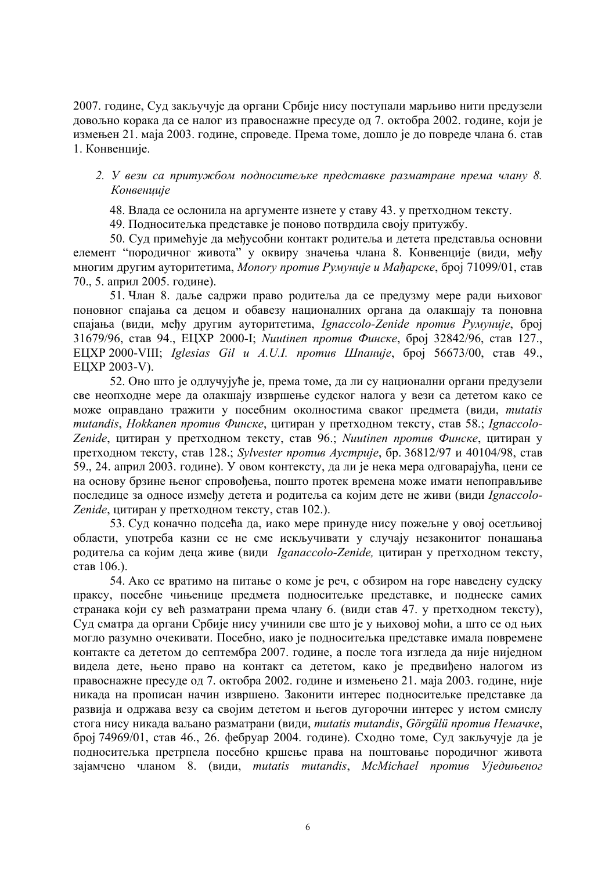2007. године, Суд закључује да органи Србије нису поступали марљиво нити предузели довољно корака да се налог из правоснажне пресуде од 7. октобра 2002. године, који је измењен 21. маја 2003. године, спроведе. Према томе, дошло је до повреде члана 6. став 1. Конвенције.

- *2. У вези са притужбом подноситељке представке разматране према члану 8. Конвенције* 
	- 48. Влада се ослонила на аргументе изнете у ставу 43. у претходном тексту.
	- 49. Подноситељка представке је поново потврдила своју притужбу.

50. Суд примећује да међусобни контакт родитеља и детета представља основни елемент "породичног живота" у оквиру значења члана 8. Конвенције (види, међу многим другим ауторитетима, *Monory против Румуније и Мађарске*, број 71099/01, став 70., 5. април 2005. године).

51. Члан 8. даље садржи право родитеља да се предузму мере ради њиховог поновног спајања са децом и обавезу националних органа да олакшају та поновна спајања (види, међу другим ауторитетима, *Ignaccolo-Zenide против Румуније*, број 31679/96, став 94., ЕЦХР 2000-I; *Nuutinen против Финске*, број 32842/96, став 127., ЕЦХР 2000-VIII; *Iglesias Gil и A.U.I. против Шпаније*, број 56673/00, став 49., ЕЦХР 2003-V).

52. Оно што је одлучујуће је, према томе, да ли су национални органи предузели све неопходне мере да олакшају извршење судског налога у вези са дететом како се може оправдано тражити у посебним околностима сваког предмета (види, *mutatis mutandis*, *Hokkanen против Финске*, цитиран у претходном тексту, став 58.; *Ignaccolo-Zenide*, цитиран у претходном тексту, став 96.; *Nuutinen против Финске*, цитиран у претходном тексту, став 128.; *Sylvester против Аустрије*, бр. 36812/97 и 40104/98, став 59., 24. април 2003. године). У овом контексту, да ли је нека мера одговарајућа, цени се на основу брзине њеног спровођења, пошто протек времена може имати непоправљиве последице за односе између детета и родитеља са којим дете не живи (види *Ignaccolo-Zenide*, цитиран у претходном тексту, став 102.).

53. Суд коначно подсећа да, иако мере принуде нису пожељне у овој осетљивој области, употреба казни се не сме искључивати у случају незаконитог понашања родитеља са којим деца живе (види *Iganaccolo-Zenidе,* цитиран у претходном тексту, став 106.).

54. Ако се вратимо на питање о коме је реч, с обзиром на горе наведену судску праксу, посебне чињенице предмета подноситељке представке, и поднеске самих странака који су већ разматрани према члану 6. (види став 47. у претходном тексту), Суд сматра да органи Србије нису учинили све што је у њиховој моћи, а што се од њих могло разумно очекивати. Посебно, иако је подноситељка представке имала повремене контакте са дететом до септембра 2007. године, а после тога изгледа да није ниједном видела дете, њено право на контакт са дететом, како је предвиђено налогом из правоснажне пресуде од 7. октобра 2002. године и измењено 21. маја 2003. године, није никада на прописан начин извршено. Законити интерес подноситељке представке да развија и одржава везу са својим дететом и његов дугорочни интерес у истом смислу стога нису никада ваљано разматрани (види, *mutatis mutandis*, *Görgülü против Немачке*, број 74969/01, став 46., 26. фебруар 2004. године). Сходно томе, Суд закључује да је подноситељка претрпела посебно кршење права на поштовање породичног живота зајамчено чланом 8. (види, *mutatis mutandis*, *McMichael против Уједињеног*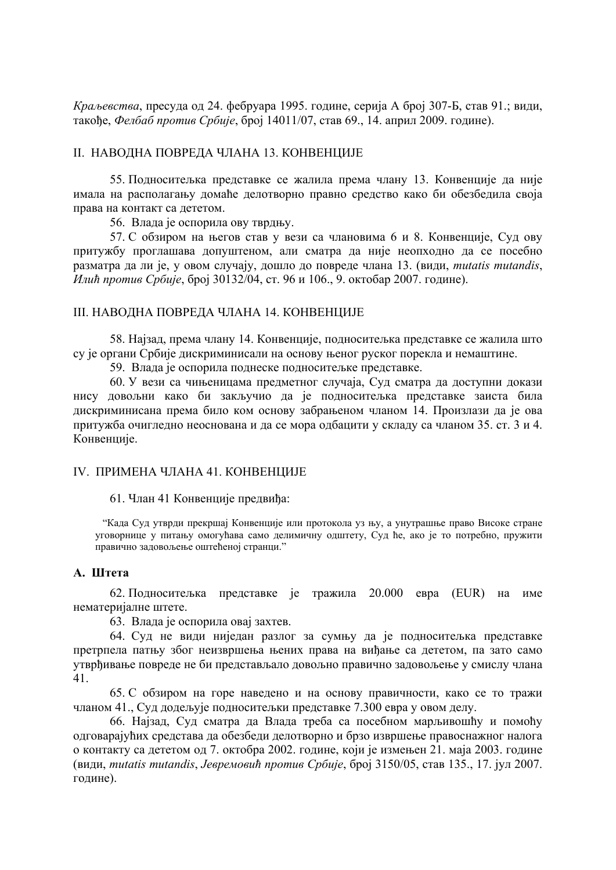*Краљевства*, пресуда од 24. фебруара 1995. године, серија A број 307-Б, став 91.; види, такође, *Фелбаб против Србије*, број 14011/07, став 69., 14. април 2009. године).

### II. НАВОДНА ПОВРЕДА ЧЛАНА 13. КОНВЕНЦИЈЕ

55. Подноситељка представке се жалила према члану 13. Конвенције да није имала на располагању домаће делотворно правно средство како би обезбедила своја права на контакт са дететом.

56. Влада је оспорила ову тврдњу.

57. С обзиром на његов став у вези са члановима 6 и 8. Конвенције, Суд ову притужбу проглашава допуштеном, али сматра да није неопходно да се посебно разматра да ли је, у овом случају, дошло до повреде члана 13. (види, *mutatis mutandis*, *Илић против Србије*, број 30132/04, ст. 96 и 106., 9. октобар 2007. године).

### III. НАВОДНА ПОВРЕДА ЧЛАНА 14. КОНВЕНЦИЈЕ

58. Најзад, према члану 14. Конвенције, подноситељка представке се жалила што су је органи Србије дискриминисали на основу њеног руског порекла и немаштине.

59. Влада је оспорила поднеске подноситељке представке.

60. У вези са чињеницама предметног случаја, Суд сматра да доступни докази нису довољни како би закључио да је подноситељка представке заиста била дискриминисана према било ком основу забрањеном чланом 14. Произлази да је ова притужба очигледно неоснована и да се мора одбацити у складу са чланом 35. ст. 3 и 4. Конвенције.

## IV. ПРИМЕНА ЧЛАНА 41. КОНВЕНЦИЈЕ

61. Члан 41 Конвенције предвиђа:

"Када Суд утврди прекршај Конвенције или протокола уз њу, а унутрашње право Високе стране уговорнице у питању омогућава само делимичну одштету, Суд ће, ако је то потребно, пружити правично задовољење оштећеној странци."

### **А. Штета**

62. Подноситељка представке је тражила 20.000 евра (EUR) на име нематеријалне штете.

63. Влада је оспорила овај захтев.

64. Суд не види ниједан разлог за сумњу да је подноситељка представке претрпела патњу због неизвршења њених права на виђање са дететом, па зато само утврђивање повреде не би представљало довољно правично задовољење у смислу члана 41.

65. С обзиром на горе наведено и на основу правичности, како се то тражи чланом 41., Суд додељује подноситељки представке 7.300 евра у овом делу.

66. Најзад, Суд сматра да Влада треба са посебном марљивошћу и помоћу одговарајућих средстава да обезбеди делотворно и брзо извршење правоснажног налога о контакту са дететом од 7. октобра 2002. године, који је измењен 21. маја 2003. године (види, *mutatis mutandis*, *Јевремовић против Србије*, број 3150/05, став 135., 17. јул 2007. године).